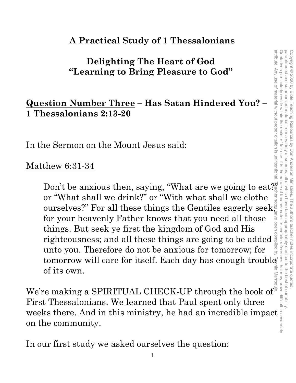#### **A Practical Study of 1 Thessalonians**

#### **Delighting The Heart of God "Learning to Bring Pleasure to God"**

#### **Question Number Three – Has Satan Hindered You? – 1 Thessalonians 2:13-20**

In the Sermon on the Mount Jesus said:

#### Matthew 6:31-34

Don't be anxious then, saying, "What are we going to eat?" or "What shall we drink?" or "With what shall we clothe ourselves?" For all these things the Gentiles eagerly seek;<br>for your heavenly Father knows that you need all those<br>things. But seek ye first the kingdom of God and His<br>righteousness; and all these things are going to be ad for your heavenly Father knows that you need all those things. But seek ye first the kingdom of God and His righteousness; and all these things are going to be added unto you. Therefore do not be anxious for tomorrow; for tomorrow will care for itself. Each day has enough trouble of its own. weeks there. And in this ministry, he had an incredible impact

We're making a SPIRITUAL CHECK-UP through the book of First Thessalonians. We learned that Paul spent only three on the community.

In our first study we asked ourselves the question: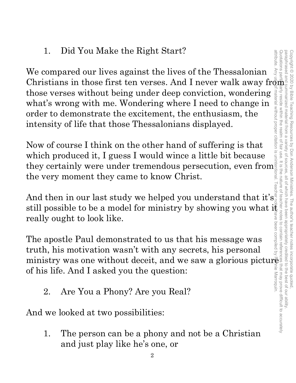1. Did You Make the Right Start?

We compared our lives against the lives of the Thessalonian Christians in those first ten verses. And I never walk away from those verses without being under deep conviction, wondering what's wrong with me. Wondering where I need to change in order to demonstrate the excitement, the enthusiasm, the intensity of life that those Thessalonians displayed. attribute. Any use of material without proper citation is unintentional. Teacher notes have been compiled by Ronnie Marroquin.

Now of course I think on the other hand of suffering is that which produced it, I guess I would wince a little bit because they certainly were under tremendous persecution, even from the very moment they came to know Christ.

And then in our last study we helped you understand that it's still possible to be a model for ministry by showing you what  $i\bar{\mathbf{t}}$ really ought to look like.

The apostle Paul demonstrated to us that his message was truth, his motivation wasn't with any secrets, his personal ministry was one without deceit, and we saw a glorious picture of his life. And I asked you the question:

2. Are You a Phony? Are you Real?

And we looked at two possibilities:

1. The person can be a phony and not be a Christian and just play like he's one, or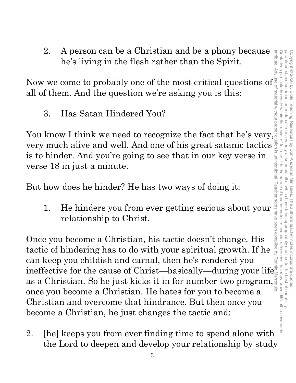- Quotations particularly reside within the realm of fair use. It is the nature of teacher notes to contain references that may prove difficult to accurately Quotations particularly reside within the realm of fair use. It is the nature of teacher notes to contain references that may prove difficult to accurately paraphrased and summarized material paraphrased and summarized material from a variety of sources, all of which have been appropriately credited to the best of our ability. Copyright © 2020 by Bible Teaching Resources Copyright © 2020 by Bible Teaching Resources by Don Anderson Ministries. The author's teacher notes incorporate quoted, variety of sources by Don Anderson Ministries. all of which have been The author's teacher notes incorporate quoted appropriately credited to the best of our ability
- 2. A person can be a Christian and be a phony because he's living in the flesh rather than the Spirit.

Now we come to probably one of the most critical questions of all of them. And the question we're asking you is this:

3. Has Satan Hindered You?

You know I think we need to recognize the fact that he's very, very much alive and well. And one of his great satanic tactics is to hinder. And you're going to see that in our key verse in verse 18 in just a minute.

But how does he hinder? He has two ways of doing it:

1. He hinders you from ever getting serious about your relationship to Christ.

Once you become a Christian, his tactic doesn't change. His tactic of hindering has to do with your spiritual growth. If he can keep you childish and carnal, then he's rendered you ineffective for the cause of Christ—basically—during your life $\bar{\bar{\bar{\bar{\varepsilon}}}}$ as a Christian. So he just kicks it in for number two program, once you become a Christian. He hates for you to become a Christian and overcome that hindrance. But then once you become a Christian, he just changes the tactic and: attribute. Any use of material without proper citation is unintentional. Teacher notes have been compiled by Ronnie Marroquin.

2. [he] keeps you from ever finding time to spend alone with the Lord to deepen and develop your relationship by study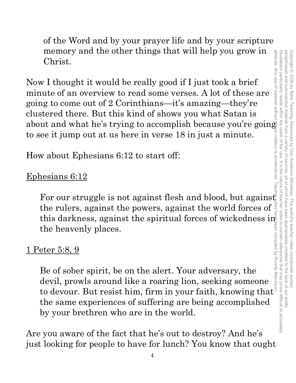paraphrased and summarized material from a variety of attribute. Any use of material without proper citation is unintentional. Teacher notes have been compiled by Ronnie Marroquin.Quotations particularly reside within the realm of fair use. It is the nature of teacher notes to contain references that may prove difficult to accurately paraphrased and summarized material from a variety of sources, all of which have been appropriately credited to the best of our ability. Copyright © 2020 by Bible Teaching Resources by Don Anderson Ministries Copyright © 2020 by Bible Teaching Resources by Don Anderson Ministries. The author's teacher notes incorporate quoted, all of which have been appropriately credited . The author's teacher notes incorporate quoted to the best of our ability

of the Word and by your prayer life and by your scripture memory and the other things that will help you grow in Christ.

Now I thought it would be really good if I just took a brief minute of an overview to read some verses. A lot of these are going to come out of 2 Corinthians—it's amazing—they're clustered there. But this kind of shows you what Satan is about and what he's trying to accomplish because you're going to see it jump out at us here in verse 18 in just a minute. memory and the other things that will neip you grow in<br>
Christ.<br>
W I thought it would be really good if I just took a brief<br>
enture of an overview to read some verses. A lot of these are<br>
not again of a complish because y

How about Ephesians 6:12 to start off:

#### Ephesians 6:12

the rulers, against the powers, against the world forces of this darkness, against the spiritual forces of wickedness in the heavenly places.

#### 1 Peter 5:8, 9

Be of sober spirit, be on the alert. Your adversary, the devil, prowls around like a roaring lion, seeking someone to devour. But resist him, firm in your faith, knowing that the same experiences of suffering are being accomplished by your brethren who are in the world.

Are you aware of the fact that he's out to destroy? And he's just looking for people to have for lunch? You know that ought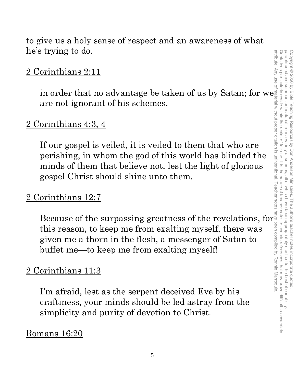to give us a holy sense of respect and an awareness of what he's trying to do.

#### 2 Corinthians 2:11

in order that no advantage be taken of us by Satan; for we are not ignorant of his schemes.

#### 2 Corinthians 4:3, 4

If our gospel is veiled, it is veiled to them that who are perishing, in whom the god of this world has blinded the minds of them that believe not, lest the light of glorious gospel Christ should shine unto them.

#### 2 Corinthians 12:7

Because of the surpassing greatness of the revelations, for this reason, to keep me from exalting myself, there was given me a thorn in the flesh, a messenger of Satan to buffet me—to keep me from exalting myself!

#### 2 Corinthians 11:3

I'm afraid, lest as the serpent deceived Eve by his craftiness, your minds should be led astray from the simplicity and purity of devotion to Christ.

#### Romans 16:20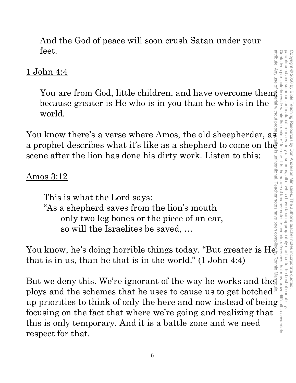And the God of peace will soon crush Satan under your feet.

#### <u>1 John 4:4</u>

You are from God, little children, and have overcome them; because greater is He who is in you than he who is in the world.

You know there's a verse where Amos, the old sheepherder, as a prophet describes what it's like as a shepherd to come on the scene after the lion has done his dirty work. Listen to this: attribute. Any use of material without proper citation is unintentional. Teacher notes have been compiled by Ronnie Marroquin.

#### Amos 3:12

This is what the Lord says: "As a shepherd saves from the lion's mouth only two leg bones or the piece of an ear, so will the Israelites be saved, …

You know, he's doing horrible things today. "But greater is  ${\rm H}$ **Ronnie** that is in us, than he that is in the world." (1 John 4:4)

But we deny this. We're ignorant of the way he works and the ploys and the schemes that he uses to cause us to get botched reet.<br>
1 John 4:4<br>
You are from God, little children, and have overcome them<br>
because greater is He who is in you than he who is in the<br>
world.<br>
You know there's a verse where Amos, the old sheepherder, a<br>
a prophet descr focusing on the fact that where we're going and realizing that this is only temporary. And it is a battle zone and we need respect for that.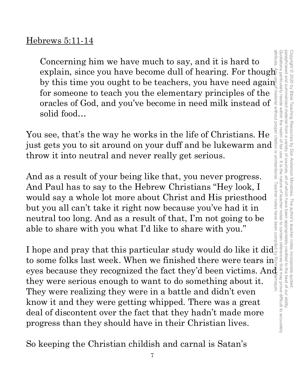#### Hebrews 5:11-14

attribute Concerning him we have much to say, and it is hard to by this time you ought to be teachers, you have need againg for someone to teach you the elementary principles of the oracles of God, and you've become in need milk instead of solid food…

You see, that's the way he works in the life of Christians. He just gets you to sit around on your duff and be lukewarm and throw it into neutral and never really get serious.

And as a result of your being like that, you never progress. And Paul has to say to the Hebrew Christians "Hey look, I would say a whole lot more about Christ and His priesthood but you all can't take it right now because you've had it in neutral too long. And as a result of that, I'm not going to be able to share with you what I'd like to share with you."

Concerning him we have much to say, and it is hard to<br>explain, since you have become dull of hearing. For though<br>by this time you ought to be teachers, you have need again<br>for someone to teach you the elementary principle I hope and pray that this particular study would do like it did $_{\circ}^{\varepsilon}$ to some folks last week. When we finished there were tears in eyes because they recognized the fact they'd been victims. And they were serious enough to want to do something about it. they were serious enough to want to do something about it. They were realizing they were in a battle and didn't even know it and they were getting whipped. There was a great deal of discontent over the fact that they hadn't made more progress than they should have in their Christian lives.

So keeping the Christian childish and carnal is Satan's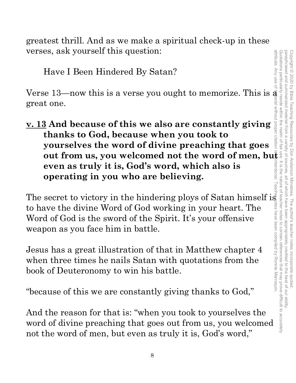greatest thrill. And as we make a spiritual check-up in these verses, ask yourself this question:

Have I Been Hindered By Satan?

Verse 13—now this is a verse you ought to memorize. This is a great one.

# **v. 13 And because of this we also are constantly giving thanks to God, because when you took to yourselves the word of divine preaching that goes**  es, ask yourself this question:<br> **have I Been Hindered By Satan?**<br> **out 13—now this is a verse you ought to memorize. This is a<br>
<b>3** And because of this we also are constantly giving<br> **out from us, you welcomed not the wor even as truly it is, God's word, which also is operating in you who are believing.**

The secret to victory in the hindering ploys of Satan himself is to have the divine Word of God working in your heart. The Word of God is the sword of the Spirit. It's your offensive weapon as you face him in battle.

Jesus has a great illustration of that in Matthew chapter 4 when three times he nails Satan with quotations from the book of Deuteronomy to win his battle.

"because of this we are constantly giving thanks to God,"

And the reason for that is: "when you took to yourselves the word of divine preaching that goes out from us, you welcomed not the word of men, but even as truly it is, God's word,"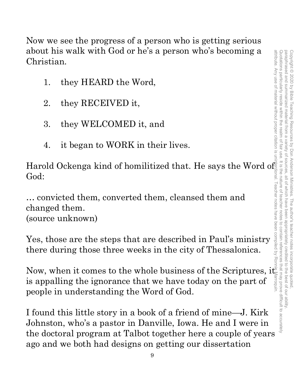Now we see the progress of a person who is getting serious about his walk with God or he's a person who's becoming a Christian.

- 1. they HEARD the Word,
- 2. they RECEIVED it,
- 3. they WELCOMED it, and
- 4. it began to WORK in their lives.

Harold Ockenga kind of homilitized that. He says the Word of God:

… convicted them, converted them, cleansed them and changed them.

(source unknown)

Yes, those are the steps that are described in Paul's ministry there during those three weeks in the city of Thessalonica.

Now, when it comes to the whole business of the Scriptures,  $\mathrm{i} t_{\mathbb{R}}^{\bar{\bar{\mathbb{F}}}}$ is appalling the ignorance that we have today on the part of people in understanding the Word of God.

I found this little story in a book of a friend of mine—J. Kirk Johnston, who's a pastor in Danville, Iowa. He and I were in the doctoral program at Talbot together here a couple of years ago and we both had designs on getting our dissertation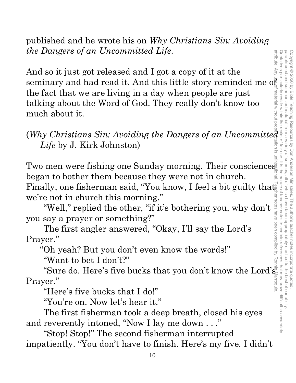published and he wrote his on *Why Christians Sin: Avoiding the Dangers of an Uncommitted Life*.

the Dangers of an Uncommitted Life.<br>
And so it just got released and I got a copy of it at the<br>
seminary and had read it. And this little story reminded me of<br>
the fact that we are living in a day when people are just<br>
ta attribute. Any And so it just got released and I got a copy of it at the the fact that we are living in a day when people are just talking about the Word of God. They really don't know too much about it.

(*Why Christians Sin: Avoiding the Dangers of an Uncommitted Life* by J. Kirk Johnston)

Two men were fishing one Sunday morning. Their consciences began to bother them because they were not in church.<br>Finally, one fisherman said, "You know, I feel a bit guilty that began to bother them because they were not in church. Finally, one fisherman said, "You know, I feel a bit guilty that we're not in church this morning." attribute. Any use of material without proper citation is unintentional. Teacher notes have been compiled by Ronnie Marroquin.

 "Well," replied the other, "if it's bothering you, why don't you say a prayer or something?"

The first angler answered, "Okay, I'll say the Lord's Prayer."

"Oh yeah? But you don't even know the words!"

"Want to bet I don't?"

"Sure do. Here's five bucks that you don't know the Lord's Prayer."

"Here's five bucks that I do!"

"You're on. Now let's hear it."

The first fisherman took a deep breath, closed his eyes and reverently intoned, "Now I lay me down . . ."

 "Stop! Stop!" The second fisherman interrupted impatiently. "You don't have to finish. Here's my five. I didn't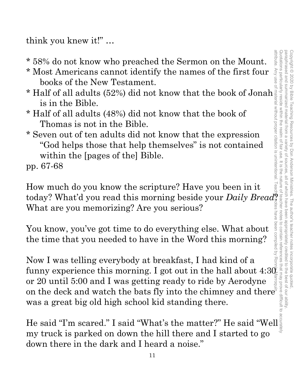paraphrased and summarized material from a attribute. Any use of material without proper citation is unintentional. Teacher notes have been compiled by Ronnie Marroquin.Quotations particularly reside within the realm of fair use. It is the nature of teacher notes to contain references that may prove difficult to accurately paraphrased and summarized material from a variety of sources, all of which have been appropriately credited to the best of our ability. Copyright © 2020 by Bible Copyright © 2020 by Bible Teaching Resources by Don Anderson Ministries. The author's teacher notes incorporate quoted, **Teaching Resources** by Don Anderson Ministries. which have been . The author's teacher notes incorporate quotec appropriately credited to the best of our ability

think you knew it!" …

- \* 58% do not know who preached the Sermon on the Mount.
- \* Most Americans cannot identify the names of the first four books of the New Testament.
- \* Half of all adults (52%) did not know that the book of Jonah is in the Bible.
- \* Half of all adults (48%) did not know that the book of Thomas is not in the Bible.
- \* Seven out of ten adults did not know that the expression "God helps those that help themselves" is not contained within the [pages of the] Bible.

pp. 67-68

How much do you know the scripture? Have you been in it today? What'd you read this morning beside your *Daily Bread*? What are you memorizing? Are you serious?

You know, you've got time to do everything else. What about the time that you needed to have in the Word this morning?

Now I was telling everybody at breakfast, I had kind of a funny experience this morning. I got out in the hall about  $4:30$ or 20 until 5:00 and I was getting ready to ride by Aerodyne on the deck and watch the bats fly into the chimney and there was a great big old high school kid standing there.

He said "I'm scared." I said "What's the matter?" He said "Well my truck is parked on down the hill there and I started to go down there in the dark and I heard a noise."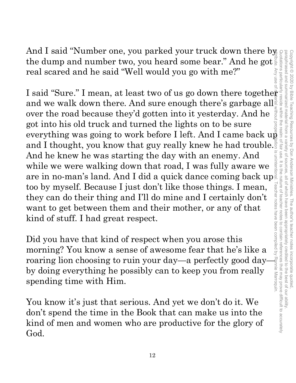And I said "Number one, you parked your truck down there by the dump and number two, you heard some bear." And he got real scared and he said "Well would you go with me?"

I said "Sure." I mean, at least two of us go down there together and we walk down there. And sure enough there's garbage all over the road because they'd gotten into it yesterday. And he got into his old truck and turned the lights on to be sure everything was going to work before I left. And I came back  $\mathsf{u}\bar{\mathsf{p}}$  : and I thought, you know that guy really knew he had trouble. And he knew he was starting the day with an enemy. And while we were walking down that road, I was fully aware we are in no-man's land. And I did a quick dance coming back up too by myself. Because I just don't like those things. I mean, they can do their thing and I'll do mine and I certainly don't want to get between them and their mother, or any of that kind of stuff. I had great respect. attribute. Any use of material without proper citation is unintentional. Teacher notes have been compiled by Ronnie Marroquin.

Did you have that kind of respect when you arose this morning? You know a sense of awesome fear that he's like a roaring lion choosing to ruin your day—a perfectly good day by doing everything he possibly can to keep you from really spending time with Him.

You know it's just that serious. And yet we don't do it. We don't spend the time in the Book that can make us into the kind of men and women who are productive for the glory of God.

paraphrased and summarized material from a variety of sources Quotations particularly reside within the realm of fair use. It is the nature of teacher notes to contain references that may prove difficult to accurately paraphrased and summarized material from a variety of sources, all of which have been appropriately credited to the best of our ability. Copyright © 2020 by Bible Teaching Resources by Don Anderson Ministries. The author's teacher notes incorporate quoted Copyright © 2020 by Bible Teaching Resources by Don Anderson Ministries. The author's teacher notes incorporate quoted, all of which have been appropriately credited to the best of our ability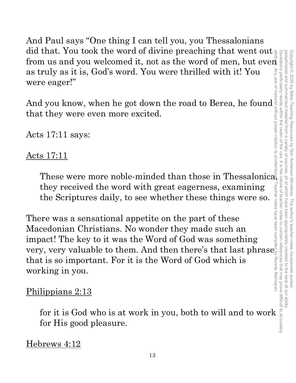And Paul says "One thing I can tell you, you Thessalonians did that. You took the word of divine preaching that went out from us and you welcomed it, not as the word of men, but even as truly as it is, God's word. You were thrilled with it! You were eager!"

And you know, when he got down the road to Berea, he found that they were even more excited.

Acts 17:11 says:

#### Acts 17:11

These were more noble-minded than those in Thessalonica, they received the word with great eagerness, examining the Scriptures daily, to see whether these things were so.

There was a sensational appetite on the part of these Macedonian Christians. No wonder they made such an impact! The key to it was the Word of God was something very, very valuable to them. And then there's that last phrase that is so important. For it is the Word of God which is working in you.

#### Philippians 2:13

for it is God who is at work in you, both to will and to work for His good pleasure.

#### Hebrews 4:12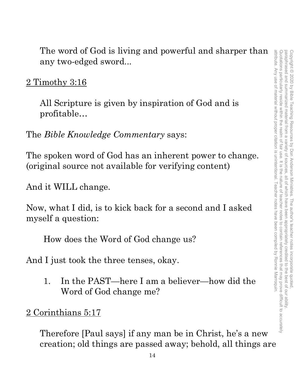The word of God is living and powerful and sharper than any two-edged sword...

2 Timothy 3:16

All Scripture is given by inspiration of God and is profitable…

The *Bible Knowledge Commentary* says:

The spoken word of God has an inherent power to change. (original source not available for verifying content)

And it WILL change.

Now, what I did, is to kick back for a second and I asked myself a question:

How does the Word of God change us?

And I just took the three tenses, okay.

1. In the PAST—here I am a believer—how did the Word of God change me?

2 Corinthians 5:17

Therefore [Paul says] if any man be in Christ, he's a new creation; old things are passed away; behold, all things are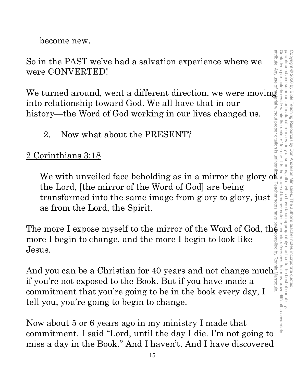become new.

So in the PAST we've had a salvation experience where we were CONVERTED!

We turned around, went a different direction, we were moving into relationship toward God. We all have that in our history—the Word of God working in our lives changed us.

2. Now what about the PRESENT?

#### 2 Corinthians 3:18

We with unveiled face beholding as in a mirror the glory of the Lord, [the mirror of the Word of God] are being transformed into the same image from glory to glory, just as from the Lord, the Spirit.

The more I expose myself to the mirror of the Word of God, the more I begin to change, and the more I begin to look like Jesus.

And you can be a Christian for 40 years and not change much if you're not exposed to the Book. But if you have made a commitment that you're going to be in the book every day, I tell you, you're going to begin to change.

Now about 5 or 6 years ago in my ministry I made that commitment. I said "Lord, until the day I die. I'm not going to miss a day in the Book." And I haven't. And I have discovered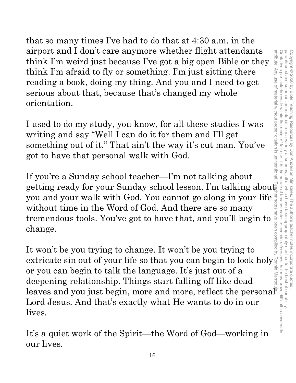that so many times I've had to do that at 4:30 a.m. in the airport and I don't care anymore whether flight attendants think I'm weird just because I've got a big open Bible or they think I'm afraid to fly or something. I'm just sitting there reading a book, doing my thing. And you and I need to get serious about that, because that's changed my whole orientation.

I used to do my study, you know, for all these studies I was writing and say "Well I can do it for them and I'll get something out of it." That ain't the way it's cut man. You've got to have that personal walk with God.

If you're a Sunday school teacher—I'm not talking about getting ready for your Sunday school lesson. I'm talking about you and your walk with God. You cannot go along in your life without time in the Word of God. And there are so many tremendous tools. You've got to have that, and you'll begin to change.

It won't be you trying to change. It won't be you trying to extricate sin out of your life so that you can begin to look holy or you can begin to talk the language. It's just out of a deepening relationship. Things start falling off like dead leaves and you just begin, more and more, reflect the persona $\mathbb F$ Lord Jesus. And that's exactly what He wants to do in our lives.

It's a quiet work of the Spirit—the Word of God—working in our lives.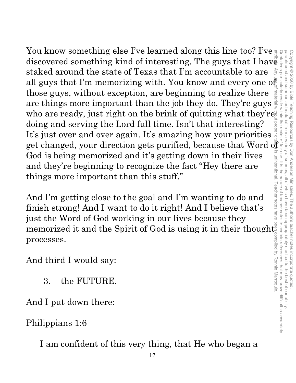You know something else I've learned along this line too? I've  $\frac{1}{2}$ You know something else I've learned along this line too? I've something kind have discovered something. The guys that I have staked around the state of Texas that I'm accountable to are  $\frac{1}{5}$  and guys that I'm memori staked around the state of Texas that I'm accountable to are all guys that I'm memorizing with. You know and every one of those guys, without exception, are beginning to realize there are things more important than the job they do. They're guys who are ready, just right on the brink of quitting what they're doing and serving the Lord full time. Isn't that interesting? It's just over and over again. It's amazing how your priorities get changed, your direction gets purified, because that Word of God is being memorized and it's getting down in their lives and they're beginning to recognize the fact "Hey there are things more important than this stuff." Quotations particularly reside within the realm of fair use. It is the nature of teacher notes to contain references that may prove difficult to accurately attribute. Any use of material without proper citation is unintentional. Teacher notes have been compiled by Ronnie Marroquin.

Copyright © 2020 by Bible Teaching Resources by Don Anderson Ministries. The author's teacher notes incorporate quoted,

Copyright © 2020 by Bible Teaching Resources by Don Anderson Ministries. The author's teacher notes incorporate quoted

paraphrased and summarized material from a variety of sources, all of which have been appropriately credited to the best of our ability.

, all of which have been appropriately credited to the best of our ability

paraphrased and summarized material from a variety of sources.

And I'm getting close to the goal and I'm wanting to do and finish strong! And I want to do it right! And I believe that's just the Word of God working in our lives because they memorized it and the Spirit of God is using it in their thought processes.

And third I would say:

3. the FUTURE.

And I put down there:

Philippians 1:6

I am confident of this very thing, that He who began a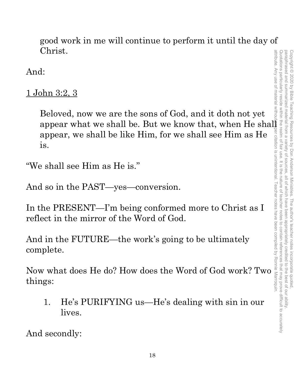good work in me will continue to perform it until the day of Christ.

And:

#### 1 John 3:2, 3

Beloved, now we are the sons of God, and it doth not yet appear what we shall be. But we know that, when He shall appear, we shall be like Him, for we shall see Him as He is.

"We shall see Him as He is."

And so in the PAST—yes—conversion.

In the PRESENT—I'm being conformed more to Christ as I reflect in the mirror of the Word of God.

And in the FUTURE—the work's going to be ultimately complete.

Now what does He do? How does the Word of God work? Two things:

1. He's PURIFYING us—He's dealing with sin in our lives.

And secondly: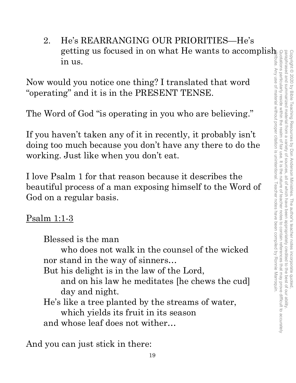2. He's REARRANGING OUR PRIORITIES—He's getting us focused in on what He wants to accomplish in us.

Now would you notice one thing? I translated that word "operating" and it is in the PRESENT TENSE.

The Word of God "is operating in you who are believing."

If you haven't taken any of it in recently, it probably isn't doing too much because you don't have any there to do the working. Just like when you don't eat.

I love Psalm 1 for that reason because it describes the beautiful process of a man exposing himself to the Word of God on a regular basis.

#### Psalm 1:1-3

Blessed is the man who does not walk in the counsel of the wicked nor stand in the way of sinners… But his delight is in the law of the Lord, and on his law he meditates [he chews the cud] day and night. He's like a tree planted by the streams of water, which yields its fruit in its season and whose leaf does not wither…

And you can just stick in there: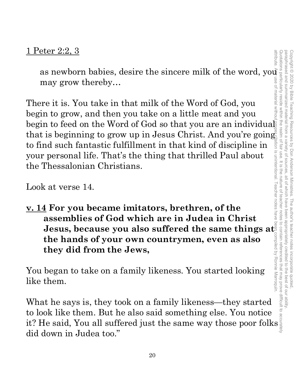#### 1 Peter 2:2, 3

may grow thereby…

ever 2:2. 3<br>
as newborn babies, desire the sincere milk of the word, you<br>
may grow thereby...<br>
are it is. You take in that milk of the Word of God, you<br>
in to grow, and then you take on a little meat and you<br>
in to feed o There it is. You take in that milk of the Word of God, you begin to grow, and then you take on a little meat and you may grow thereby...<br>There it is. You take in that milk of the Word of God, you<br>begin to grow, and then you take on a little meat and you<br>begin to feed on the Word of God so that you are an individuals that is beginning to grow up in Jesus Christ. And you're going to find such fantastic fulfillment in that kind of discipline in your personal life. That's the thing that thrilled Paul about the Thessalonian Christians.

Look at verse 14.

**v. 14 For you became imitators, brethren, of the assemblies of God which are in Judea in Christ Jesus, because you also suffered the same things at the hands of your own countrymen, even as also they did from the Jews,**

You began to take on a family likeness. You started looking like them.

What he says is, they took on a family likeness—they started to look like them. But he also said something else. You notice to look like them. But he also said something else. You notice it? He said, You all suffered just the same way those poor folks  $\frac{1}{8}$  did down in Judea too." did down in Judea too."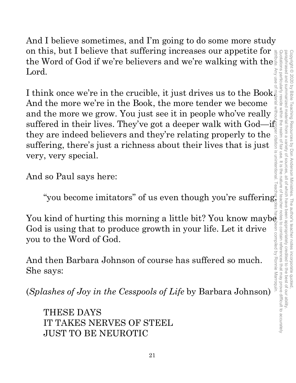And I believe sometimes, and I'm going to do some more study on this, but I believe that suffering increases our appetite for  $\frac{1}{2}$ the Word of God if we're believers and we're walking with the Lord.

I think once we're in the crucible, it just drives us to the Book. And the more we're in the Book, the more tender we become and the more we grow. You just see it in people who've really suffered in their lives. They've got a deeper walk with God—if they are indeed believers and they're relating properly to the suffering, there's just a richness about their lives that is just very, very special.

And so Paul says here:

"you become imitators" of us even though you're suffering..."<br>"You become imitators" of us even though you're suffering..."

You kind of hurting this morning a little bit? You know maybe God is using that to produce growth in your life. Let it drive you to the Word of God.

And then Barbara Johnson of course has suffered so much. She says:

(*Splashes of Joy in the Cesspools of Life* by Barbara Johnson)

THESE DAYS IT TAKES NERVES OF STEEL JUST TO BE NEUROTIC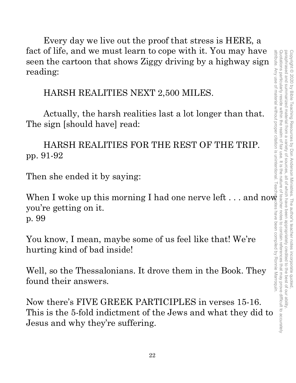Every day we live out the proof that stress is HERE, a fact of life, and we must learn to cope with it. You may have seen the cartoon that shows Ziggy driving by a highway sign reading:

HARSH REALITIES NEXT 2,500 MILES.

Actually, the harsh realities last a lot longer than that. The sign [should have] read:

HARSH REALITIES FOR THE REST OF THE TRIP. pp. 91-92

Then she ended it by saying:

When I woke up this morning I had one nerve left  $\dots$  and now you're getting on it. p. 99

You know, I mean, maybe some of us feel like that! We're hurting kind of bad inside!

Well, so the Thessalonians. It drove them in the Book. They found their answers.

Now there's FIVE GREEK PARTICIPLES in verses 15-16. This is the 5-fold indictment of the Jews and what they did to Jesus and why they're suffering.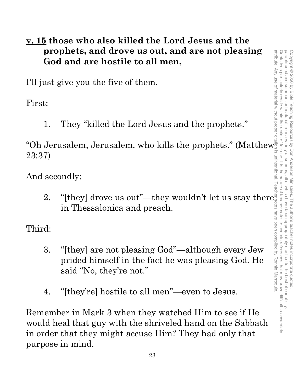#### **v. 15 those who also killed the Lord Jesus and the prophets, and drove us out, and are not pleasing God and are hostile to all men,**

I'll just give you the five of them.

First:

1. They "killed the Lord Jesus and the prophets."

"Oh Jerusalem, Jerusalem, who kills the prophets." (Matthew 23:37)

And secondly:

2. "[they] drove us out"—they wouldn't let us stay there $\frac{\mathbb{R}}{2}$ in Thessalonica and preach.

Third:

- 3. "[they] are not pleasing God"—although every Jew prided himself in the fact he was pleasing God. He said "No, they're not."
- 4. "[they're] hostile to all men"—even to Jesus.

Remember in Mark 3 when they watched Him to see if He would heal that guy with the shriveled hand on the Sabbath in order that they might accuse Him? They had only that purpose in mind.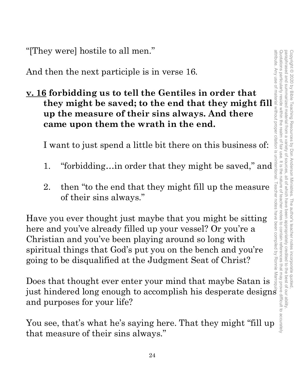"[They were] hostile to all men."

And then the next participle is in verse 16.

**v. 16 forbidding us to tell the Gentiles in order that**  Express the saved; to the contiles in order that<br>
they might be saved; to the end that they might fill<br>
up the measure of their sins always. And there<br>
came upon them the wrath in the end.<br>
I want to just spend a little bi **up the measure of their sins always. And there came upon them the wrath in the end.**

I want to just spend a little bit there on this business of:

- 1. "forbidding…in order that they might be saved," and
- 2. then "to the end that they might fill up the measure of their sins always."

Have you ever thought just maybe that you might be sitting here and you've already filled up your vessel? Or you're a Christian and you've been playing around so long with spiritual things that God's put you on the bench and you're going to be disqualified at the Judgment Seat of Christ?

Does that thought ever enter your mind that maybe Satan is just hindered long enough to accomplish his desperate designs and purposes for your life?

You see, that's what he's saying here. That they might "fill up that measure of their sins always."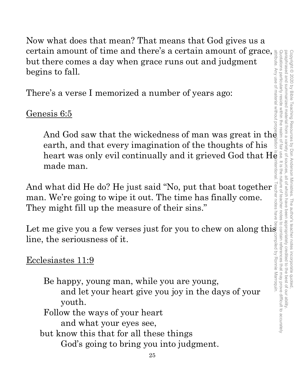Now what does that mean? That means that God gives us a certain amount of time and there's a certain amount of grace, but there comes a day when grace runs out and judgment begins to fall.

There's a verse I memorized a number of years ago:

#### Genesis 6:5

And God saw that the wickedness of man was great in the earth, and that every imagination of the thoughts of his  $\frac{2}{9}$  heart was only evil continually and it grieved God that  $H_{\mathbf{C}}^{\frac{2}{9}}$ heart was only evil continually and it grieved God that  $\rm H^{\omega}_{\bm{\Xi}}$ made man.

And what did He do? He just said "No, put that boat together man. We're going to wipe it out. The time has finally come. They might fill up the measure of their sins."

Let me give you a few verses just for you to chew on along this line, the seriousness of it.

#### Ecclesiastes 11:9

Be happy, young man, while you are young, and let your heart give you joy in the days of your youth. Follow the ways of your heart

and what your eyes see,

but know this that for all these things God's going to bring you into judgment.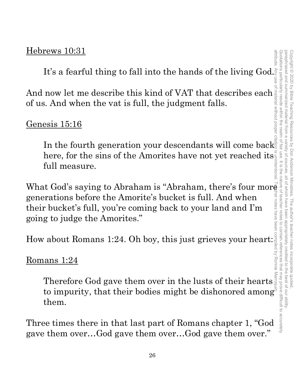#### Hebrews 10:31

attribute. It's a fearful thing to fall into the hands of the living God.

And now let me describe this kind of VAT that describes each of us. And when the vat is full, the judgment falls.

Genesis 15:16

In the fourth generation your descendants will come back here, for the sins of the Amorites have not yet reached its $\mathsf{\check{g}}$ full measure.

What God's saying to Abraham is "Abraham, there's four more  $|$ generations before the Amorite's bucket is full. And when their bucket's full, you're coming back to your land and I'm going to judge the Amorites." attribute. Any use of material without proper citation is unintentional. Teacher notes have been compiled by Ronnie Marroquin.

How about Romans 1:24. Oh boy, this just grieves your heart:

Romans 1:24

Therefore God gave them over in the lusts of their hearts to impurity, that their bodies might be dishonored among them.

Three times there in that last part of Romans chapter 1, "God gave them over…God gave them over…God gave them over."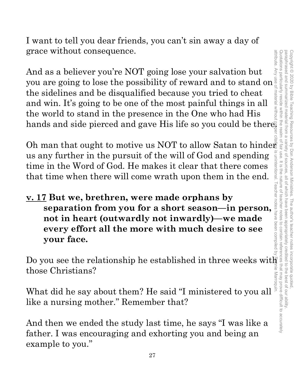I want to tell you dear friends, you can't sin away a day of grace without consequence.

And as a believer you're NOT going lose your salvation but you are going to lose the possibility of reward and to stand on  $\S$ the sidelines and be disqualified because you tried to cheat and win. It's going to be one of the most painful things in all the world to stand in the presence in the One who had His hands and side pierced and gave His life so you could be there. grace without consequence.<br>
And as a believer you're NOT going lose your salvation but<br>
you are going to lose the possibility of reward and to stand on<br>
the sidelines and be disqualified because you tried to cheat<br>
and wi

us any further in the pursuit of the will of God and spending time in the Word of God. He makes it clear that there comes that time when there will come wrath upon them in the end.

**v. 17 But we, brethren, were made orphans by F** But we, brethren, were made orphans by<br>separation from you for a short season—in person, **not in heart (outwardly not inwardly)—we made every effort all the more with much desire to see your face.**

Do you see the relationship he established in three weeks with those Christians? those Christians?

those Unristians:<br> $\frac{1}{3}$  What did he say about them? He said "I ministered to you all  $\frac{2}{3}$ like a nursing mother." Remember that?

And then we ended the study last time, he says "I was like a father. I was encouraging and exhorting you and being an example to you."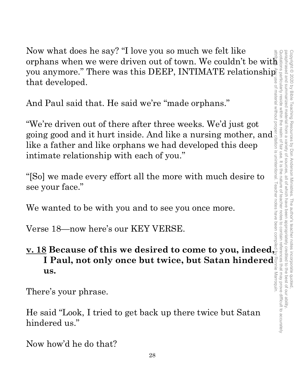Now what does he say? "I love you so much we felt like you anymore." There was this DEEP, INTIMATE relationship that developed.

And Paul said that. He said we're "made orphans."

orphans when we were driven out of town. We couldn't be with you anymore." There was this DEEP, INTIMATE relationships that developed.<br>
And Paul said that. He said we're "made orphans."<br>
"We're driven out of there after t "We're driven out of there after three weeks. We'd just got going good and it hurt inside. And like a nursing mother, and like a father and like orphans we had developed this deep intimate relationship with each of you."

"[So] we made every effort all the more with much desire to see your face."

We wanted to be with you and to see you once more.

Verse 18—now here's our KEY VERSE.

## **v. 18 Because of this we desired to come to you, indeed, I Paul, not only once but twice, but Satan hindered I Paul, not only once but twice, but Satan hinderedom**<br>us.<br>re's vour phrase.

There's your phrase.

He said "Look, I tried to get back up there twice but Satan hindered us."

Now how'd he do that?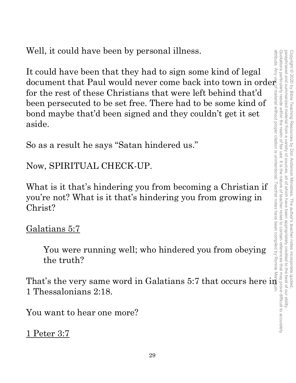attribute. Any use of material without proper citation is unintentional. Teacher notes have been compiled by Ronnie Marroquin.Quotations particularly reside within the realm of fair use. It is the nature of teacher notes to contain references that may prove difficult to accurately paraphrased and summarized material from a paraphrased and summarized material from a variety of sources, all of which have been appropriately credited to the best of our ability. Copyright © 2020 by Bible Teaching Resources by Don Anderson Ministries. The author's teacher notes incorporate quoted Copyright © 2020 by Bible Teaching Resources by Don Anderson Ministries. The author's teacher notes incorporate quoted, variety of all of which have been appropriately credited to the best of our ability

Well, it could have been by personal illness.

It could have been that they had to sign some kind of legal document that Paul would never come back into town in order for the rest of these Christians that were left behind that'd been persecuted to be set free. There had to be some kind of bond maybe that'd been signed and they couldn't get it set aside.

So as a result he says "Satan hindered us."

Now, SPIRITUAL CHECK-UP.

What is it that's hindering you from becoming a Christian if you're not? What is it that's hindering you from growing in Christ?

Galatians 5:7

You were running well; who hindered you from obeying the truth?

That's the very same word in Galatians 5:7 that occurs here in 1 Thessalonians 2:18.

You want to hear one more?

1 Peter 3:7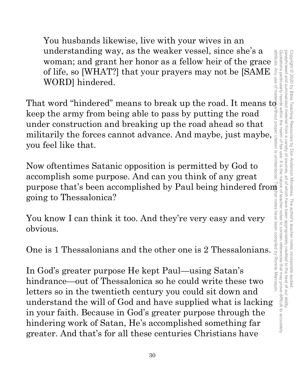You husbands likewise, live with your wives in an understanding way, as the weaker vessel, since she's a woman; and grant her honor as a fellow heir of the grace of life, so [WHAT?] that your prayers may not be [SAME WORD] hindered.

That word "hindered" means to break up the road. It means  $\mathrm{t}\bar{\mathrm{e}}$ keep the army from being able to pass by putting the road under construction and breaking up the road ahead so that militarily the forces cannot advance. And maybe, just maybe, you feel like that.

Now oftentimes Satanic opposition is permitted by God to accomplish some purpose. And can you think of any great purpose that's been accomplished by Paul being hindered from going to Thessalonica?

You know I can think it too. And they're very easy and very obvious.

One is 1 Thessalonians and the other one is 2 Thessalonians.

In God's greater purpose He kept Paul—using Satan's hindrance—out of Thessalonica so he could write these two letters so in the twentieth century you could sit down and understand the will of God and have supplied what is lacking in your faith. Because in God's greater purpose through the hindering work of Satan, He's accomplished something far greater. And that's for all these centuries Christians have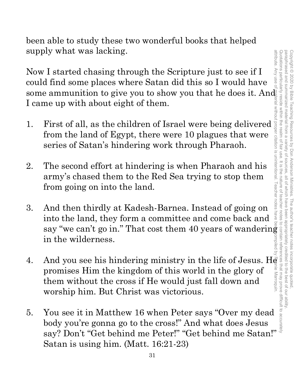been able to study these two wonderful books that helped supply what was lacking.

Now I started chasing through the Scripture just to see if I could find some places where Satan did this so I would have some ammunition to give you to show you that he does it. And I came up with about eight of them.

- 1. First of all, as the children of Israel were being delivered from the land of Egypt, there were 10 plagues that were series of Satan's hindering work through Pharaoh.
- 2. The second effort at hindering is when Pharaoh and his army's chased them to the Red Sea trying to stop them from going on into the land.
- 3. And then thirdly at Kadesh-Barnea. Instead of going on into the land, they form a committee and come back and say "we can't go in." That cost them 40 years of wandering in the wilderness. shy what was lacking.<br>
I started chasing through the Scripture just to see if I<br>
d find some places where Satan did this so I would have<br>
a ammunition to give you to show you that he does it. And<br>
me up with about eight o
- 4. And you see his hindering ministry in the life of Jesus. He promises Him the kingdom of this world in the glory of them without the cross if He would just fall down and worship him. But Christ was victorious.
- 5. You see it in Matthew 16 when Peter says "Over my dead body you're gonna go to the cross!" And what does Jesus Satan is using him. (Matt. 16:21-23)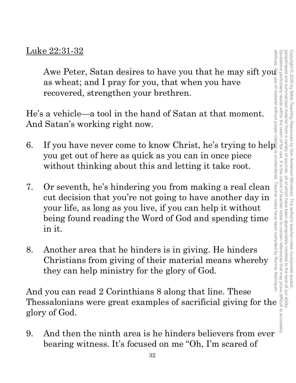#### Luke 22:31-32

as wheat; and I pray for you, that when you have recovered, strengthen your brethren.

He's a vehicle—a tool in the hand of Satan at that moment. And Satan's working right now.

- 6. If you have never come to know Christ, he's trying to help you get out of here as quick as you can in once piece without thinking about this and letting it take root.
- Awe Peter, Satan desires to have you that he may sift you 7. Or seventh, he's hindering you from making a real clean cut decision that you're not going to have another day in your life, as long as you live, if you can help it without being found reading the Word of God and spending time in it.
- 8. Another area that he hinders is in giving. He hinders Christians from giving of their material means whereby they can help ministry for the glory of God.

And you can read 2 Corinthians 8 along that line. These Thessalonians were great examples of sacrificial giving for the glory of God.

9. And then the ninth area is he hinders believers from ever bearing witness. It's focused on me "Oh, I'm scared of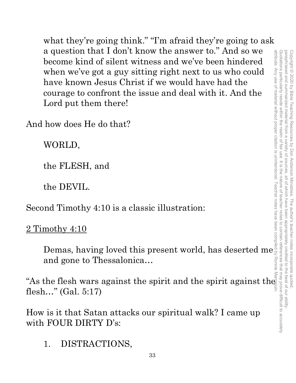what they're going think." "I'm afraid they're going to ask a question that I don't know the answer to." And so we become kind of silent witness and we've been hindered when we've got a guy sitting right next to us who could have known Jesus Christ if we would have had the courage to confront the issue and deal with it. And the Lord put them there!

And how does He do that?

WORLD,

the FLESH, and

the DEVIL.

Second Timothy 4:10 is a classic illustration:

2 Timothy 4:10

Demas, having loved this present world, has deserted me and gone to Thessalonica…

"As the flesh wars against the spirit and the spirit against the flesh…" (Gal. 5:17)

How is it that Satan attacks our spiritual walk? I came up with FOUR DIRTY D's:

1. DISTRACTIONS,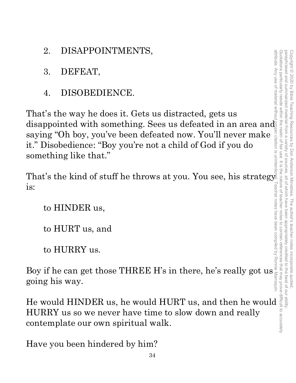paraphrased and summarized attribute. Any use of material without proper citation is unintentional. Teacher notes have been compiled by Ronnie Marroquin.Quotations particularly reside within the realm of fair use. It is the nature of teacher notes to contain references that may prove difficult to accurately paraphrased and summarized material from a variety of sources, all of which have been appropriately credited to the best of our ability. Copyright © 2020 by Bible Teaching Resources by Don Anderson Ministries. The author's teacher notes incorporate quoted Copyright © 2020 by Bible Teaching Resources by Don Anderson Ministries. The author's teacher notes incorporate quoted, material from a variety of sources. all of which have been appropriately credited to the best of our ability

- 2. DISAPPOINTMENTS,
- 3. DEFEAT,
- 4. DISOBEDIENCE.

That's the way he does it. Gets us distracted, gets us disappointed with something. Sees us defeated in an area and saying "Oh boy, you've been defeated now. You'll never make it." Disobedience: "Boy you're not a child of God if you do something like that." EXECTION THE WAS SERVICUS AND REFRACT,<br>
That's the way he does it. Gets us distracted, gets us<br>
disappointed with something. Sees us defeated in an area and<br>
sixting "Oh boy, you've been defeated now. You'll never make<br>
si

That's the kind of stuff he throws at you. You see, his strategy is:

to HINDER us,

to HURT us, and

to HURRY us.

is:<br>  $\begin{array}{c}\n\text{to HINDER us,} \\
\text{to HURT us, and} \\
\text{to HURT us, and} \\
\text{to HURT us.} \\
\end{array}$ going his way.

HURRY us so we never have time to slow down and really contemplate our own spiritual walk.

Have you been hindered by him?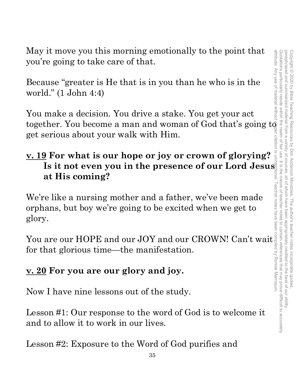May it move you this morning emotionally to the point that you're going to take care of that.

Because "greater is He that is in you than he who is in the world." (1 John 4:4)

You make a decision. You drive a stake. You get your act together. You become a man and woman of God that's going  $t\bar{g}$ get serious about your walk with Him.

## **v. 19 For what is our hope or joy or crown of glorying? at His coming?**

**Is it not even you in the presence of our Lord Jesus<br>
Is it not even you in the presence of our Lord Jesus<br>
at His coming?**<br>
This coming?<br>
This coming?<br>
This coming?<br>
This coming?<br>
This coming?<br>
This coming is a material We're like a nursing mother and a father, we've been made orphans, but boy we're going to be excited when we get to glory.

You are our HOPE and our JOY and our CROWN! Can't wait for that glorious time—the manifestation.

#### **v. 20 For you are our glory and joy.**

Now I have nine lessons out of the study.

Lesson #1: Our response to the word of God is to welcome it and to allow it to work in our lives.

Lesson #2: Exposure to the Word of God purifies and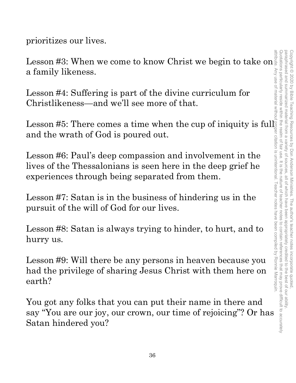prioritizes our lives.

Lesson #3: When we come to know Christ we begin to take on a family likeness.

Lesson #4: Suffering is part of the divine curriculum for Christlikeness—and we'll see more of that.

Lesson #5: There comes a time when the cup of iniquity is full and the wrath of God is poured out.

Lesson #6: Paul's deep compassion and involvement in the lives of the Thessalonians is seen here in the deep grief he experiences through being separated from them.

Lesson #7: Satan is in the business of hindering us in the pursuit of the will of God for our lives.

Lesson #8: Satan is always trying to hinder, to hurt, and to hurry us.

Lesson #9: Will there be any persons in heaven because you had the privilege of sharing Jesus Christ with them here on earth?

You got any folks that you can put their name in there and say "You are our joy, our crown, our time of rejoicing"? Or has Satan hindered you?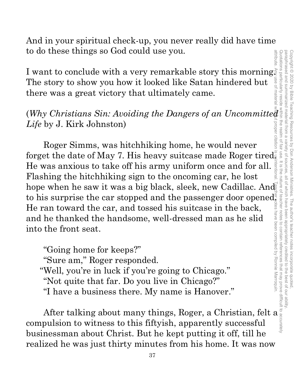paraphrased and summarized material from a attribute. Any use of material without proper citation is unintentional. Teacher notes have been compiled by Ronnie Marroquin.Quotations particularly reside within the realm of fair use. It is the nature of teacher notes to contain references that may prove difficult to accurately paraphrased and summarized material from a variety of sources, all of which have been appropriately credited to the best of our ability. Copyright © 2020 by Bible Teaching Resources Copyright © 2020 by Bible Teaching Resources by Don Anderson Ministries. The author's teacher notes incorporate quoted, c proper citation variety of sources by Don Anderson Ministries. The author's teacher notes incorporate quoted , all of which have been appropriately credited to the best of our ability

And in your spiritual check-up, you never really did have time to do these things so God could use you.

to do these things so God could use you.<br>
I want to conclude with a very remarkable story this morning.<br>
The story to show you how it looked like Satan hindered but<br>
there was a great victory that ultimately came. use of material The story to show you how it looked like Satan hindered but there was a great victory that ultimately came.

## *Life* by J. Kirk Johnston)

(*Why Christians Sin: Avoiding the Dangers of an Uncommitted*<br> *Life* by J. Kirk Johnston)<br>
Roger Simms, was hitchliking home, he would never<br>
forget the date of May 7. His heavy suitcase made Roger tired<br>
IF was anxious Roger Simms, was hitchhiking home, he would never forget the date of May 7. His heavy suitcase made Roger tired. He was anxious to take off his army uniform once and for all. Flashing the hitchhiking sign to the oncoming car, he lost hope when he saw it was a big black, sleek, new Cadillac. And to his surprise the car stopped and the passenger door opened.<br>
He ran toward the car, and tossed his suitcase in the back,<br>
and he thanked the handsome, well-dressed man as he slid<br>
into the front seat.<br>
"Going home for He ran toward the car, and tossed his suitcase in the back, and he thanked the handsome, well-dressed man as he slid into the front seat.

 "Going home for keeps?" "Sure am," Roger responded. "Well, you're in luck if you're going to Chicago." "Not quite that far. Do you live in Chicago?" "I have a business there. My name is Hanover."

After talking about many things, Roger, a Christian, felt a compulsion to witness to this fiftyish, apparently successful businessman about Christ. But he kept putting it off, till he realized he was just thirty minutes from his home. It was now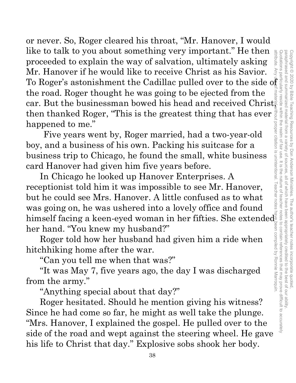or never. So, Roger cleared his throat, "Mr. Hanover, I would like to talk to you about something very important." He then proceeded to explain the way of salvation, ultimately asking Mr. Hanover if he would like to receive Christ as his Savior. The to talk to you about something very important." He then<br>moreeded to explain the way of salvation, ultimately asking<br>To Roger's astonishment the Cadillac pulled over to the side of<br>the road. Roger though the was going the road. Roger thought he was going to be ejected from the  $\frac{1}{2}$  car. But the businessman bowed his head and received Christ $\frac{1}{2}$ car. But the businessman bowed his head and received Christ $\frac{3}{2}$ then thanked Roger, "This is the greatest thing that has ever happened to me."

Five years went by, Roger married, had a two-year-old boy, and a business of his own. Packing his suitcase for a business trip to Chicago, he found the small, white business card Hanover had given him five years before.

In Chicago he looked up Hanover Enterprises. A receptionist told him it was impossible to see Mr. Hanover, but he could see Mrs. Hanover. A little confused as to what was going on, he was ushered into a lovely office and found himself facing a keen-eyed woman in her fifties. She extended her hand. "You knew my husband?"

Roger told how her husband had given him a ride when hitchhiking home after the war.

"Can you tell me when that was?"

"It was May 7, five years ago, the day I was discharged from the army."

"Anything special about that day?"

Roger hesitated. Should he mention giving his witness? Since he had come so far, he might as well take the plunge. "Mrs. Hanover, I explained the gospel. He pulled over to the side of the road and wept against the steering wheel. He gave his life to Christ that day." Explosive sobs shook her body.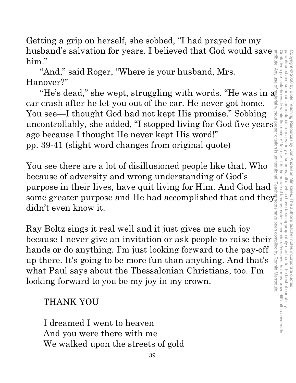Quotations particularly reside within the realm of fair use. It is the nature of teacher notes to contain references that may prove difficult to accurately paraphrased and summarized material from a attribute. Any use of material without proper citation is unintentional. Teacher notes have been compiled by Ronnie Marroquin.Quotations particularly reside within the realm of fair use. It is the nature of teacher notes to contain references that may prove difficult to accurately paraphrased and summarized material from a variety of sources, all of which have been appropriately credited to the best of our ability. Copyright © 2020 by Bible Teaching Resources by Don Anderson Ministries. The author's teacher notes incorporate quoted Copyright © 2020 by Bible Teaching Resources by Don Anderson Ministries. The author's teacher notes incorporate quoted, variety of sources , all of which have been appropriately credited to the best of our ability

Getting a grip on herself, she sobbed, "I had prayed for my husband's salvation for years. I believed that God would save him."

"And," said Roger, "Where is your husband, Mrs. Hanover?"

"He's dead," she wept, struggling with words. "He was in a car crash after he let you out of the car. He never got home. You see—I thought God had not kept His promise." Sobbing uncontrollably, she added, "I stopped living for God five years ago because I thought He never kept His word!" pp. 39-41 (slight word changes from original quote)

You see there are a lot of disillusioned people like that. Who because of adversity and wrong understanding of God's purpose in their lives, have quit living for Him. And God had some greater purpose and He had accomplished that and they didn't even know it.

Ray Boltz sings it real well and it just gives me such joy because I never give an invitation or ask people to raise their hands or do anything. I'm just looking forward to the pay-off up there. It's going to be more fun than anything. And that's what Paul says about the Thessalonian Christians, too. I'm looking forward to you be my joy in my crown.

#### THANK YOU

I dreamed I went to heaven And you were there with me We walked upon the streets of gold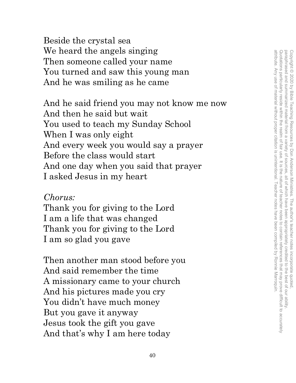Beside the crystal sea We heard the angels singing Then someone called your name You turned and saw this young man And he was smiling as he came

And he said friend you may not know me now And then he said but wait You used to teach my Sunday School When I was only eight And every week you would say a prayer Before the class would start And one day when you said that prayer I asked Jesus in my heart

#### *Chorus:*

Thank you for giving to the Lord I am a life that was changed Thank you for giving to the Lord I am so glad you gave

Then another man stood before you And said remember the time A missionary came to your church And his pictures made you cry You didn't have much money But you gave it anyway Jesus took the gift you gave And that's why I am here today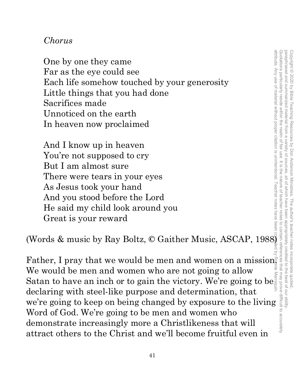#### *Chorus*

One by one they came Far as the eye could see Each life somehow touched by your generosity Little things that you had done Sacrifices made Unnoticed on the earth In heaven now proclaimed

And I know up in heaven You're not supposed to cry But I am almost sure There were tears in your eyes As Jesus took your hand And you stood before the Lord He said my child look around you Great is your reward

(Words & music by Ray Boltz, **©** Gaither Music, ASCAP, 1988)

One by one they came<br>
Far as the cyc could see<br>
Lette things that you had done<br>
Lette things that you had done<br>
Sacrifices made<br>
Unnoticed on the earth<br>
In heaven now proclaimed<br>
In heaven now proclaimed<br>
And I know up in We would be men and women who are not going to allow Satan to have an inch or to gain the victory. We're going to be declaring with steel-like purpose and determination, that we're going to keep on being changed by exposure to the living Word of God. We're going to be men and women who demonstrate increasingly more a Christlikeness that will attract others to the Christ and we'll become fruitful even in attribute. Any use of material without proper citation is unintentional. Teacher notes have been compiled by Ronnie Marroquin.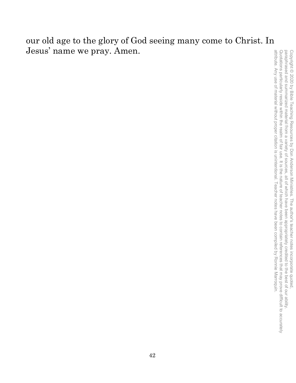our old age to the glory of God seeing many come to Christ. In Jesus' name we pray. Amen.

attribute. Any use of material without proper citation is unintentional. Teacher notes have been compiled by Ronnie Marroquin. Quotations particularly reside within the realm of fair use. It is the nature of teacher notes to contain references that may prove difficult to accurately paraphrased and summarized material from a variety of sources, all of which have been appropriately credited to the best of our ability. Copyright © 2020 by Bible Teaching Resources by Don Anderson Ministries. The author's teacher notes incorporate quoted, attribute. Any use of material without proper citation is unintentional. Teacher notes have been compiled by Ronnie Marroquin.Quotations particularly reside within the realm of fair use. It is the nature of teacher notes to contain references that may prove difficult to accurately paraphrased and summarized material from a variety of sources, all of which have been appropriately credited to the best of our ability. Copyright © 2020 by Bible Teaching Resources by Don Anderson Ministries. The author's teacher notes incorporate quoted,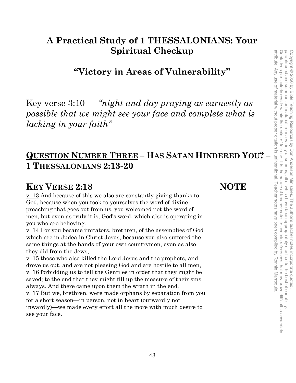attribute. Any use of material without proper citation is unintentional. Teacher notes have been compiled by Ronnie Marroquin. attribute. Any use of material without proper citation is unintentional. Teacher notes have been compiled by Ronnie Marroquin.

#### **A Practical Study of 1 THESSALONIANS: Your Spiritual Checkup**

**"Victory in Areas of Vulnerability"** 

Key verse 3:10 — *"night and day praying as earnestly as possible that we might see your face and complete what is lacking in your faith"* 

#### **QUESTION NUMBER THREE – HAS SATAN HINDERED YOU? – 1 THESSALONIANS 2:13-20**

#### **KEY VERSE 2:18** NOTE

v. 13 And because of this we also are constantly giving thanks to God, because when you took to yourselves the word of divine preaching that goes out from us, you welcomed not the word of men, but even as truly it is, God's word, which also is operating in you who are believing.

v. 14 For you became imitators, brethren, of the assemblies of God which are in Judea in Christ Jesus, because you also suffered the same things at the hands of your own countrymen, even as also they did from the Jews,

v. 15 those who also killed the Lord Jesus and the prophets, and drove us out, and are not pleasing God and are hostile to all men, v. 16 forbidding us to tell the Gentiles in order that they might be saved; to the end that they might fill up the measure of their sins always. And there came upon them the wrath in the end.

v. 17 But we, brethren, were made orphans by separation from you for a short season—in person, not in heart (outwardly not inwardly)—we made every effort all the more with much desire to see your face.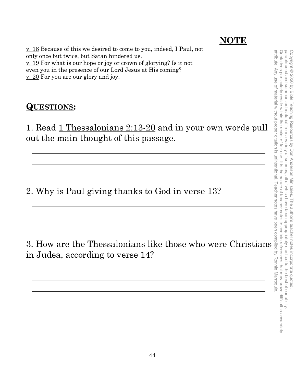### **NOTE**

v. 18 Because of this we desired to come to you, indeed, I Paul, not only once but twice, but Satan hindered us. v. 19 For what is our hope or joy or crown of glorying? Is it not even you in the presence of our Lord Jesus at His coming? v. 20 For you are our glory and joy. 3. How are the Thessalonians like those who were Christians<br>  $\frac{x_1}{20}$  For what is our love of low crown of glorying?<br>  $\frac{x_1}{20}$  For you are our glory crown of glorying?<br>  $\frac{x_1}{20}$  For you are our glory and joy.<br>  $\$ 

#### **QUESTIONS:**

1. Read 1 Thessalonians 2:13-20 and in your own words pull out the main thought of this passage.

2. Why is Paul giving thanks to God in verse 13?

in Judea, according to verse 14?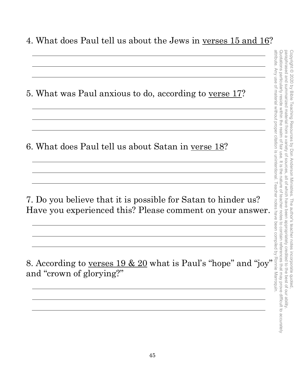- Quotations particularly reside within the realm of fair use. It is the nature of teacher notes to contain references that may prove difficult to accurately paraphrased and summarized material from a attribute. Any use of material without proper citation is unintentional. Teacher notes have been compiled by Ronnie Marroquin.Quotations particularly reside within the realm of fair use. It is the nature of teacher notes to contain references that may prove difficult to accurately paraphrased and summarized material from a variety of sources, all of which have been appropriately credited to the best of our ability. Copyright © 2020 by Bible Teaching Resources by Don Anderson Ministries. The author's teacher notes incorporate quoted Copyright © 2020 by Bible Teaching Resources by Don Anderson Ministries. The author's teacher notes incorporate quoted, variety of sources. , all of which have been appropriately credited to the best of our ability
- 4. What does Paul tell us about the Jews in verses 15 and 16?

5. What was Paul anxious to do, according to verse 17?

6. What does Paul tell us about Satan in verse 18?

7. Do you believe that it is possible for Satan to hinder us? Have you experienced this? Please comment on your answer. 8. What was Paul anxious to do, according to <u>verse 17</u>?<br>
8. What does Paul tell us about Satan in <u>verse 18?</u><br>
8. What does Paul tell us about Satan in <u>verse 18?</u><br>
T. Do you believe that it is possible for Satan to hinde

and "crown of glorying?"

<u> 1989 - Johann Stoff, deutscher Stoffen und der Stoffen und der Stoffen und der Stoffen und der Stoffen und de</u>

<u> 1989 - Johann Stoff, Amerikaansk politiker (\* 1908)</u>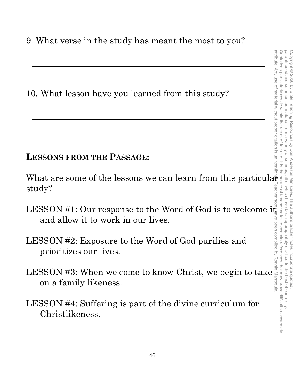9. What verse in the study has meant the most to you?

10. What lesson have you learned from this study?

#### **LESSONS FROM THE PASSAGE:**

What are some of the lessons we can learn from this particular  $\frac{1}{2}$ study?

- LESSON #1: Our response to the Word of God is to welcome  $i\xi$ and allow it to work in our lives.
- LESSON #2: Exposure to the Word of God purifies and prioritizes our lives.
- LESSON #3: When we come to know Christ, we begin to take on a family likeness.
- LESSON #4: Suffering is part of the divine curriculum for Christlikeness.